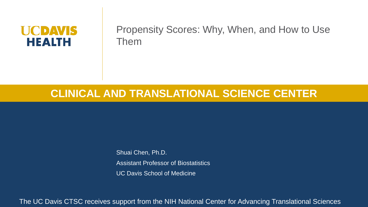#### **UCDAVIS HEALTH**

Propensity Scores: Why, When, and How to Use Them

#### **CLINICAL AND TRANSLATIONAL SCIENCE CENTER**

Shuai Chen, Ph.D. Assistant Professor of Biostatistics UC Davis School of Medicine

The UC Davis CTSC receives support from the NIH National Center for Advancing Translational Sciences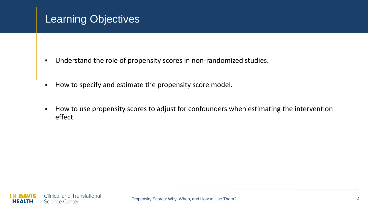## Learning Objectives

- Understand the role of propensity scores in non-randomized studies.
- How to specify and estimate the propensity score model.
- How to use propensity scores to adjust for confounders when estimating the intervention effect.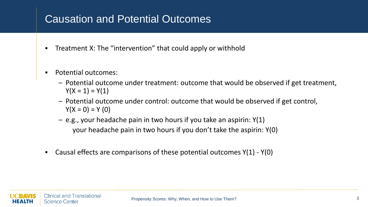#### Causation and Potential Outcomes

- Treatment X: The "intervention" that could apply or withhold
- Potential outcomes:
	- Potential outcome under treatment: outcome that would be observed if get treatment,  $Y(X = 1) = Y(1)$
	- Potential outcome under control: outcome that would be observed if get control,  $Y(X = 0) = Y(0)$
	- $-$  e.g., your headache pain in two hours if you take an aspirin:  $Y(1)$ your headache pain in two hours if you don't take the aspirin: Y(0)
- **•** Causal effects are comparisons of these potential outcomes  $Y(1) Y(0)$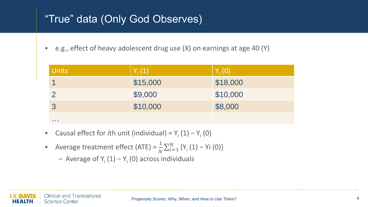## "True" data (Only God Observes)

■ e.g., effect of heavy adolescent drug use (X) on earnings at age 40 (Y)

| <b>Units</b>    | $Y_i(1)$ | $Y_i(0)$ |
|-----------------|----------|----------|
|                 | \$15,000 | \$18,000 |
|                 | \$9,000  | \$10,000 |
| 3               | \$10,000 | \$8,000  |
| <b>ALC: YES</b> |          |          |

- Causal effect for *i*th unit (individual) = Y<sub>i</sub> (1) Y<sub>i</sub> (0)
- **•** Average treatment effect (ATE) =  $\frac{1}{N}$  $\frac{1}{N} \sum_{i=1}^{N} \{Y_i (1) - Y_i (0)\}$ 
	- Average of Y<sub>i</sub> (1) − Y<sub>i</sub> (0) across individuals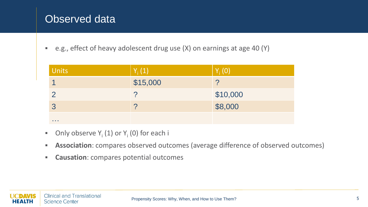## Observed data

■ e.g., effect of heavy adolescent drug use (X) on earnings at age 40 (Y)

| <b>Units</b>              | $Y_i(1)$ | $Y_i(0)$ |
|---------------------------|----------|----------|
|                           | \$15,000 |          |
|                           |          | \$10,000 |
| 3                         |          | \$8,000  |
| <b><i><u>ALCO</u></i></b> |          |          |

- **•** Only observe  $Y_i(1)$  or  $Y_i(0)$  for each i
- **Association**: compares observed outcomes (average difference of observed outcomes)
- **Causation**: compares potential outcomes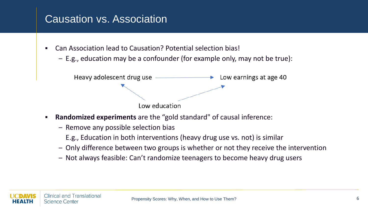### Causation vs. Association

- Can Association lead to Causation? Potential selection bias!
	- E.g., education may be a confounder (for example only, may not be true):



- **Randomized experiments** are the "gold standard" of causal inference:
	- Remove any possible selection bias
		- E.g., Education in both interventions (heavy drug use vs. not) is similar
	- Only difference between two groups is whether or not they receive the intervention
	- Not always feasible: Can't randomize teenagers to become heavy drug users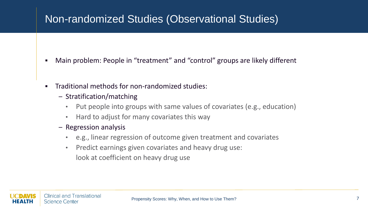### Non-randomized Studies (Observational Studies)

- Main problem: People in "treatment" and "control" groups are likely different
- Traditional methods for non-randomized studies:
	- Stratification/matching
		- Put people into groups with same values of covariates (e.g., education)
		- Hard to adjust for many covariates this way
	- Regression analysis
		- e.g., linear regression of outcome given treatment and covariates
		- Predict earnings given covariates and heavy drug use: look at coefficient on heavy drug use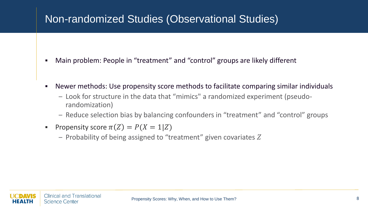### Non-randomized Studies (Observational Studies)

- Main problem: People in "treatment" and "control" groups are likely different
- Newer methods: Use propensity score methods to facilitate comparing similar individuals
	- Look for structure in the data that "mimics" a randomized experiment (pseudorandomization)
	- Reduce selection bias by balancing confounders in "treatment" and "control" groups
- **•** Propensity score  $\pi(Z) = P(X = 1|Z)$ 
	- $-$  Probability of being assigned to "treatment" given covariates Z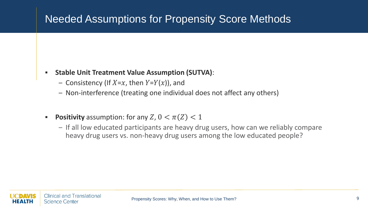### Needed Assumptions for Propensity Score Methods

#### ▪ **Stable Unit Treatment Value Assumption (SUTVA)**:

- Consistency (If  $X=x$ , then  $Y=Y(x)$ ), and
- Non-interference (treating one individual does not affect any others)
- **Positivity** assumption: for any  $Z$ ,  $0 < \pi(Z) < 1$ 
	- If all low educated participants are heavy drug users, how can we reliably compare heavy drug users vs. non-heavy drug users among the low educated people?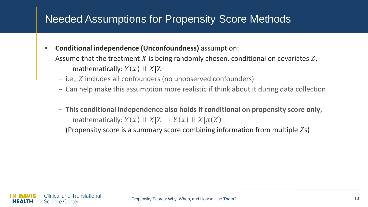### Needed Assumptions for Propensity Score Methods

- **Conditional independence (Unconfoundness)** assumption: Assume that the treatment X is being randomly chosen, conditional on covariates  $Z$ , mathematically:  $Y(x) \perp X|Z$ 
	- $-$  i.e.,  $Z$  includes all confounders (no unobserved confounders)
	- Can help make this assumption more realistic if think about it during data collection
	- **This conditional independence also holds if conditional on propensity score only**, mathematically:  $Y(x) \perp X | Z \rightarrow Y(x) \perp X | \pi(Z)$

(Propensity score is a summary score combining information from multiple  $Z_s$ )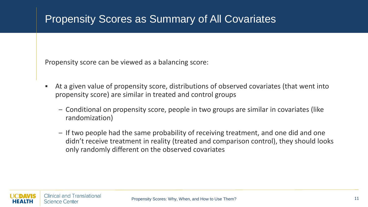## Propensity Scores as Summary of All Covariates

Propensity score can be viewed as a balancing score:

- At a given value of propensity score, distributions of observed covariates (that went into propensity score) are similar in treated and control groups
	- Conditional on propensity score, people in two groups are similar in covariates (like randomization)
	- If two people had the same probability of receiving treatment, and one did and one didn't receive treatment in reality (treated and comparison control), they should looks only randomly different on the observed covariates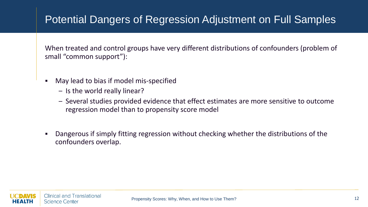## Potential Dangers of Regression Adjustment on Full Samples

When treated and control groups have very different distributions of confounders (problem of small "common support"):

- May lead to bias if model mis-specified
	- Is the world really linear?
	- Several studies provided evidence that effect estimates are more sensitive to outcome regression model than to propensity score model
- Dangerous if simply fitting regression without checking whether the distributions of the confounders overlap.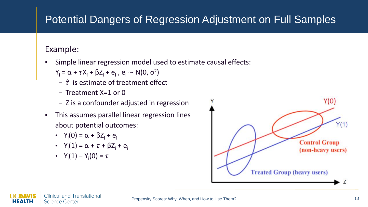# Potential Dangers of Regression Adjustment on Full Samples

#### Example:

- Simple linear regression model used to estimate causal effects:
	- $Y_i = \alpha + \tau X_i + \beta Z_i + e_i$ ,  $e_i \sim N(0, \sigma^2)$
	- $\hat{\tau}$  is estimate of treatment effect
	- Treatment X=1 or 0
	- Z is a confounder adjusted in regression
- This assumes parallel linear regression lines about potential outcomes:
	- $Y_i(0) = \alpha + \beta Z_i + e_i$
	- $Y_i(1) = \alpha + \tau + \beta Z_i + e_i$
	- $Y_i(1) Y_i(0) = \tau$

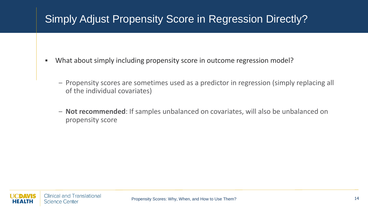# Simply Adjust Propensity Score in Regression Directly?

- What about simply including propensity score in outcome regression model?
	- Propensity scores are sometimes used as a predictor in regression (simply replacing all of the individual covariates)
	- **Not recommended**: If samples unbalanced on covariates, will also be unbalanced on propensity score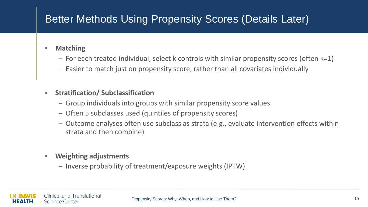# Better Methods Using Propensity Scores (Details Later)

- **Matching**
	- For each treated individual, select k controls with similar propensity scores (often k=1)
	- Easier to match just on propensity score, rather than all covariates individually
- **Stratification/ Subclassification**
	- Group individuals into groups with similar propensity score values
	- Often 5 subclasses used (quintiles of propensity scores)
	- Outcome analyses often use subclass as strata (e.g., evaluate intervention effects within strata and then combine)
- **Weighting adjustments**
	- Inverse probability of treatment/exposure weights (IPTW)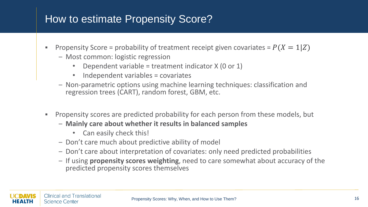#### How to estimate Propensity Score?

- **•** Propensity Score = probability of treatment receipt given covariates =  $P(X = 1|Z)$ 
	- Most common: logistic regression
		- Dependent variable = treatment indicator  $X(0 \text{ or } 1)$
		- Independent variables = covariates
	- Non-parametric options using machine learning techniques: classification and regression trees (CART), random forest, GBM, etc.
- **Propensity scores are predicted probability for each person from these models, but** 
	- **Mainly care about whether it results in balanced samples** 
		- Can easily check this!
	- Don't care much about predictive ability of model
	- Don't care about interpretation of covariates: only need predicted probabilities
	- If using **propensity scores weighting**, need to care somewhat about accuracy of the predicted propensity scores themselves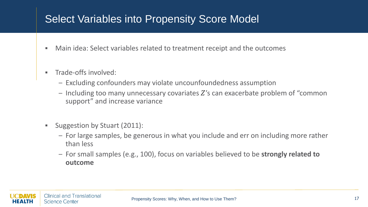#### Select Variables into Propensity Score Model

- Main idea: Select variables related to treatment receipt and the outcomes
- **•** Trade-offs involved:
	- Excluding confounders may violate uncounfoundedness assumption
	- $-$  Including too many unnecessary covariates  $Z$ 's can exacerbate problem of "common" support" and increase variance
- Suggestion by Stuart (2011):
	- For large samples, be generous in what you include and err on including more rather than less
	- For small samples (e.g., 100), focus on variables believed to be **strongly related to outcome**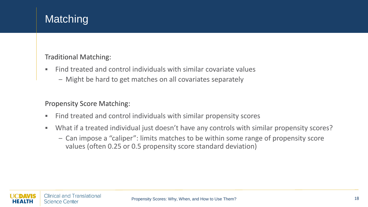# **Matching**

#### Traditional Matching:

- Find treated and control individuals with similar covariate values
	- Might be hard to get matches on all covariates separately

#### Propensity Score Matching:

- Find treated and control individuals with similar propensity scores
- What if a treated individual just doesn't have any controls with similar propensity scores?
	- Can impose a "caliper": limits matches to be within some range of propensity score values (often 0.25 or 0.5 propensity score standard deviation)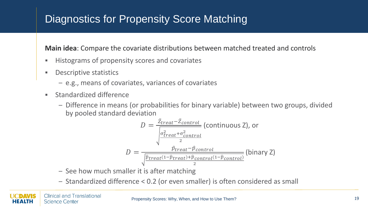## Diagnostics for Propensity Score Matching

**Main idea**: Compare the covariate distributions between matched treated and controls

- Histograms of propensity scores and covariates
- Descriptive statistics
	- e.g., means of covariates, variances of covariates
- Standardized difference
	- Difference in means (or probabilities for binary variable) between two groups, divided by pooled standard deviation

$$
D = \frac{\bar{z}_{treat} - \bar{z}_{control}}{\sqrt{\frac{\sigma_{treat}^2 + \sigma_{control}^2}{\frac{\sigma_{treat}^2 + \sigma_{control}^2}{2}}}
$$
 (continuous Z), or 
$$
D = \frac{\hat{p}_{treat} - \hat{p}_{control}}{\sqrt{\frac{\hat{p}_{treat}(1 - \hat{p}_{treat}) + \hat{p}_{control}(1 - \hat{p}_{control})}{2}}}
$$
 (binary Z)

- See how much smaller it is after matching
- Standardized difference < 0.2 (or even smaller) is often considered as small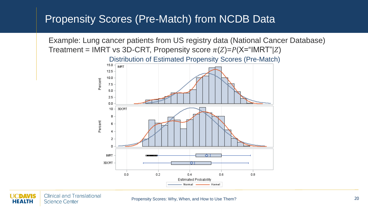#### Propensity Scores (Pre-Match) from NCDB Data



**Clinical and Translational Science Center** HEALTH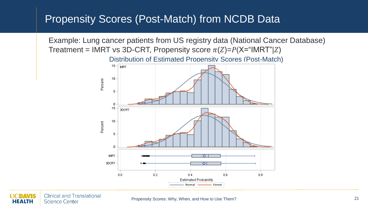#### Propensity Scores (Post-Match) from NCDB Data

Example: Lung cancer patients from US registry data (National Cancer Database) Treatment = IMRT vs 3D-CRT, Propensity score  $\pi(Z)=P(X=^{\alpha}I\text{MRT}^{\alpha}|Z)$ Distribution of Estimated Propensity Scores (Post-Match)  $15 - \frac{1}{1}$ MRT 10 Percent 5 o 15 3DCRT Percent 10 5 n IMRT 3DCRT  $0.0$  $0.2$  $0.4$  $0.6$  $0.8$ Estimated Probability Normal – Kernel

**Clinical and Translational Science Center** EALTH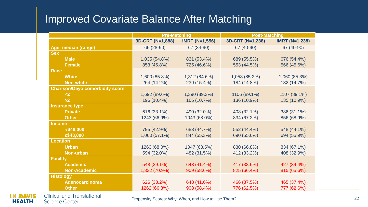#### Improved Covariate Balance After Matching

|                                        | <b>Pre-Matching</b> |                       | <b>Post-Matching</b> |                       |  |
|----------------------------------------|---------------------|-----------------------|----------------------|-----------------------|--|
|                                        | 3D-CRT (N=1,888)    | <b>IMRT (N=1,556)</b> | 3D-CRT (N=1,238)     | <b>IMRT (N=1,238)</b> |  |
| Age, median (range)                    | 66 (28-90)          | 67 (34-90)            | 67 (40-90)           | 67 (40-90)            |  |
| <b>Sex</b>                             |                     |                       |                      |                       |  |
| <b>Male</b>                            | 1,035 (54.8%)       | 831 (53.4%)           | 689 (55.5%)          | 676 (54.4%)           |  |
| <b>Female</b>                          | 853 (45.8%)         | 725 (46.6%)           | 553 (44.5%)          | 566 (45.6%)           |  |
| <b>Race</b>                            |                     |                       |                      |                       |  |
| <b>White</b>                           | 1,600 (85.8%)       | 1,312 (84.6%)         | 1,058 (85.2%)        | 1,060 (85.3%)         |  |
| <b>Non-white</b>                       | 264 (14.2%)         | 239 (15.4%)           | 184 (14.8%)          | 182 (14.7%)           |  |
| <b>Charlson/Deyo comorbidity score</b> |                     |                       |                      |                       |  |
| $2$                                    | 1,692 (89.6%)       | 1,390 (89.3%)         | 1106 (89.1%)         | 1107 (89.1%)          |  |
| $\geq$ 2                               | 196 (10.4%)         | 166 (10.7%)           | 136 (10.9%)          | 135 (10.9%)           |  |
| <b>Insurance type</b>                  |                     |                       |                      |                       |  |
| <b>Private</b>                         | 616 (33.1%)         | 490 (32.0%)           | 408 (32.1%)          | 386 (31.1%)           |  |
| <b>Other</b>                           | 1243 (66.9%)        | 1043 (68.0%)          | 834 (67.2%)          | 856 (68.9%)           |  |
| <b>Income</b>                          |                     |                       |                      |                       |  |
| $\leq$ \$48,000                        | 795 (42.9%)         | 683 (44.7%)           | 552 (44.4%)          | 548 (44.1%)           |  |
| $\geq$ \$48,000                        | 1,060 (57.1%)       | 844 (55.3%)           | 690 (55.6%)          | 694 (55.9%)           |  |
| <b>Location</b>                        |                     |                       |                      |                       |  |
| <b>Urban</b>                           | 1263 (68.0%)        | 1047 (68.5%)          | 830 (66.8%)          | 834 (67.1%)           |  |
| <b>Non-urban</b>                       | 594 (32.0%)         | 482 (31.5%)           | 412 (33.2%)          | 408 (32.9%)           |  |
| <b>Facility</b>                        |                     |                       |                      |                       |  |
| <b>Academic</b>                        | 548 (29.1%)         | 643 (41.4%)           | 417 (33.6%)          | 427 (34.4%)           |  |
| <b>Non-Academic</b>                    | 1,332 (70.9%)       | 909 (58.6%)           | 825 (66.4%)          | 815 (65.6%)           |  |
| <b>Histology</b>                       |                     |                       |                      |                       |  |
| <b>Adenocarcinoma</b>                  | 626 (33.2%)         | 648 (41.6%)           | 466 (37.5%)          | 465 (37.4%)           |  |
| <b>Other</b>                           | 1262 (66.8%)        | 908 (58.4%)           | 776 (62.5%)          | 777 (62.6%)           |  |



**Clinical and Translational Science Center**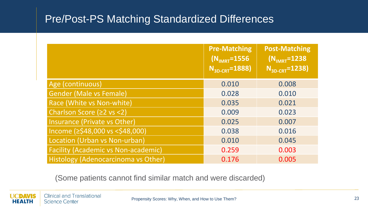#### Pre/Post-PS Matching Standardized Differences

|                                            | <b>Pre-Matching</b><br>$(N_{\text{IMRT}} = 1556)$<br>$N_{3D-CRT} = 1888$ | <b>Post-Matching</b><br>$(N_{\text{IMRT}} = 1238)$<br>$N_{3D-CRT} = 1238$ |
|--------------------------------------------|--------------------------------------------------------------------------|---------------------------------------------------------------------------|
| Age (continuous)                           | 0.010                                                                    | 0.008                                                                     |
| <b>Gender (Male vs Female)</b>             | 0.028                                                                    | 0.010                                                                     |
| Race (White vs Non-white)                  | 0.035                                                                    | 0.021                                                                     |
| Charlson Score (≥2 vs <2)                  | 0.009                                                                    | 0.023                                                                     |
| Insurance (Private vs Other)               | 0.025                                                                    | 0.007                                                                     |
| Income (≥\$48,000 vs <\$48,000)            | 0.038                                                                    | 0.016                                                                     |
| Location (Urban vs Non-urban)              | 0.010                                                                    | 0.045                                                                     |
| <b>Facility (Academic vs Non-academic)</b> | 0.259                                                                    | 0.003                                                                     |
| Histology (Adenocarcinoma vs Other)        | 0.176                                                                    | 0.005                                                                     |

(Some patients cannot find similar match and were discarded)

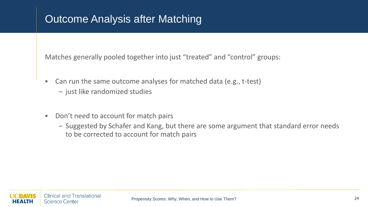## Outcome Analysis after Matching

Matches generally pooled together into just "treated" and "control" groups:

- Can run the same outcome analyses for matched data (e.g., t-test)
	- just like randomized studies
- Don't need to account for match pairs
	- Suggested by Schafer and Kang, but there are some argument that standard error needs to be corrected to account for match pairs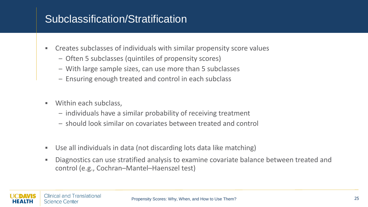### Subclassification/Stratification

- Creates subclasses of individuals with similar propensity score values
	- Often 5 subclasses (quintiles of propensity scores)
	- With large sample sizes, can use more than 5 subclasses
	- Ensuring enough treated and control in each subclass
- Within each subclass,
	- individuals have a similar probability of receiving treatment
	- should look similar on covariates between treated and control
- Use all individuals in data (not discarding lots data like matching)
- Diagnostics can use stratified analysis to examine covariate balance between treated and control (e.g., Cochran–Mantel–Haenszel test)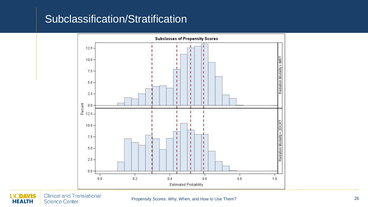#### Subclassification/Stratification



**UCDAVIS Clinical and Translational Science Center HEALTH**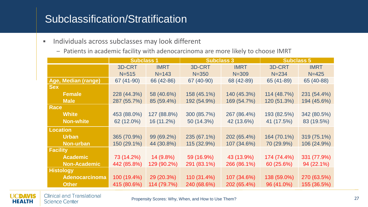#### Subclassification/Stratification

- **·** Individuals across subclasses may look different
	- Patients in academic facility with adenocarcinoma are more likely to choose IMRT

|                       | <b>Subclass 1</b> |             | <b>Subclass 3</b> |             | <b>Subclass 5</b> |             |
|-----------------------|-------------------|-------------|-------------------|-------------|-------------------|-------------|
|                       | 3D-CRT            | <b>IMRT</b> | 3D-CRT            | <b>IMRT</b> | 3D-CRT            | <b>IMRT</b> |
|                       | $N = 515$         | $N = 143$   | $N = 350$         | $N = 309$   | $N = 234$         | $N = 425$   |
| Age, Median (range)   | 67 (41-90)        | 66 (42-86)  | 67 (40-90)        | 68 (42-89)  | 65 (41-89)        | 65 (40-88)  |
| <b>Sex</b>            |                   |             |                   |             |                   |             |
| <b>Female</b>         | 228 (44.3%)       | 58 (40.6%)  | 158 (45.1%)       | 140 (45.3%) | 114 (48.7%)       | 231 (54.4%) |
| <b>Male</b>           | 287 (55.7%)       | 85 (59.4%)  | 192 (54.9%)       | 169 (54.7%) | 120 (51.3%)       | 194 (45.6%) |
| <b>Race</b>           |                   |             |                   |             |                   |             |
| <b>White</b>          | 453 (88.0%)       | 127 (88.8%) | 300 (85.7%)       | 267 (86.4%) | 193 (82.5%)       | 342 (80.5%) |
| <b>Non-white</b>      | 62 (12.0%)        | 16 (11.2%)  | 50 (14.3%)        | 42 (13.6%)  | 41 (17.5%)        | 83 (19.5%)  |
| <b>Location</b>       |                   |             |                   |             |                   |             |
| <b>Urban</b>          | 365 (70.9%)       | 99 (69.2%)  | 235 (67.1%)       | 202 (65.4%) | 164 (70.1%)       | 319 (75.1%) |
| <b>Non-urban</b>      | 150 (29.1%)       | 44 (30.8%)  | 115 (32.9%)       | 107 (34.6%) | 70 (29.9%)        | 106 (24.9%) |
| <b>Facility</b>       |                   |             |                   |             |                   |             |
| <b>Academic</b>       | 73 (14.2%)        | 14 (9.8%)   | 59 (16.9%)        | 43 (13.9%)  | 174 (74.4%)       | 331 (77.9%) |
| <b>Non-Academic</b>   | 442 (85.8%)       | 129 (90.2%) | 291 (83.1%)       | 266 (86.1%) | 60 (25.6%)        | 94 (22.1%)  |
| <b>Histology</b>      |                   |             |                   |             |                   |             |
| <b>Adenocarcinoma</b> | 100 (19.4%)       | 29 (20.3%)  | $110(31.4\%)$     | 107 (34.6%) | 138 (59.0%)       | 270 (63.5%) |
| <b>Other</b>          | 415 (80.6%)       | 114 (79.7%) | 240 (68.6%)       | 202 (65.4%) | 96 (41.0%)        | 155 (36.5%) |

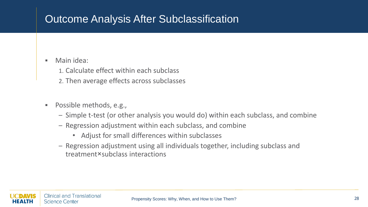## Outcome Analysis After Subclassification

#### ▪ Main idea:

- 1. Calculate effect within each subclass
- 2. Then average effects across subclasses
- Possible methods, e.g.,
	- Simple t-test (or other analysis you would do) within each subclass, and combine
	- Regression adjustment within each subclass, and combine
		- Adjust for small differences within subclasses
	- Regression adjustment using all individuals together, including subclass and treatment×subclass interactions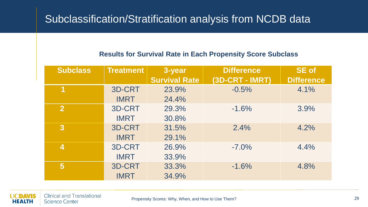#### Subclassification/Stratification analysis from NCDB data

#### **Results for Survival Rate in Each Propensity Score Subclass**

| <b>Subclass</b>  | <b>Treatment</b> | 3-year               | <b>Difference</b> | <b>SE</b> of      |
|------------------|------------------|----------------------|-------------------|-------------------|
|                  |                  | <b>Survival Rate</b> | (3D-CRT - IMRT)   | <b>Difference</b> |
| 1                | 3D-CRT           | 23.9%                | $-0.5%$           | 4.1%              |
|                  | <b>IMRT</b>      | 24.4%                |                   |                   |
| $\overline{2}$   | 3D-CRT           | 29.3%                | $-1.6%$           | 3.9%              |
|                  | <b>IMRT</b>      | 30.8%                |                   |                   |
| $\mathbf{3}$     | 3D-CRT           | 31.5%                | 2.4%              | 4.2%              |
|                  | <b>IMRT</b>      | 29.1%                |                   |                   |
| $\boldsymbol{4}$ | 3D-CRT           | 26.9%                | $-7.0\%$          | 4.4%              |
|                  | <b>IMRT</b>      | 33.9%                |                   |                   |
| $5\overline{)}$  | 3D-CRT           | 33.3%                | $-1.6%$           | 4.8%              |
|                  | <b>IMRT</b>      | 34.9%                |                   |                   |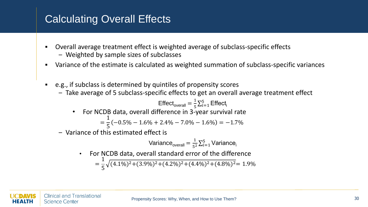# Calculating Overall Effects

- Overall average treatment effect is weighted average of subclass-specific effects
	- Weighted by sample sizes of subclasses
- Variance of the estimate is calculated as weighted summation of subclass-specific variances
- e.g., if subclass is determined by quintiles of propensity scores
	- Take average of 5 subclass-specific effects to get an overall average treatment effect

$$
\text{Effect}_{\text{overall}} = \frac{1}{5} \sum_{i=1}^{5} \text{Effect}_{i}
$$
\n• For NCDB data, overall difference in 3-year survival rate  
\n
$$
= \frac{1}{5}(-0.5\% - 1.6\% + 2.4\% - 7.0\% - 1.6\%) = -1.7\%
$$

– Variance of this estimated effect is

Variance<sub>overall</sub> = 
$$
\frac{1}{5^2} \sum_{i=1}^5
$$
 Variance<sub>i</sub>

• For NCDB data, overall standard error of the difference

$$
=\frac{1}{5}\sqrt{(4.1\%)^2+(3.9\%)^2+(4.2\%)^2+(4.4\%)^2+(4.8\%)^2}=1.9\%
$$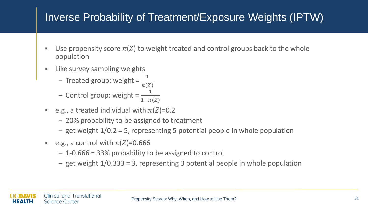## Inverse Probability of Treatment/Exposure Weights (IPTW)

- Use propensity score  $\pi(Z)$  to weight treated and control groups back to the whole population
- **EXECUTE:** Like survey sampling weights
	- Treated group: weight =  $\frac{1}{\pi G}$  $\pi(Z)$
	- Control group: weight =  $\frac{1}{1-\pi}$  $1-\pi(Z)$
- **•** e.g., a treated individual with  $\pi(Z)=0.2$ 
	- 20% probability to be assigned to treatment
	- get weight 1/0.2 = 5, representing 5 potential people in whole population
- **•** e.g., a control with  $\pi(Z)=0.666$ 
	- 1-0.666 = 33% probability to be assigned to control
	- get weight 1/0.333 = 3, representing 3 potential people in whole population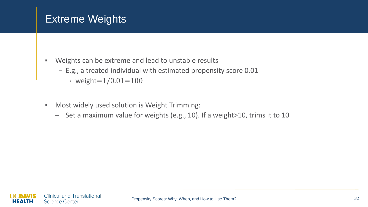#### Extreme Weights

- Weights can be extreme and lead to unstable results
	- E.g., a treated individual with estimated propensity score 0.01
		- $\rightarrow$  weight=1/0.01=100
- Most widely used solution is Weight Trimming:
	- Set a maximum value for weights (e.g., 10). If a weight>10, trims it to 10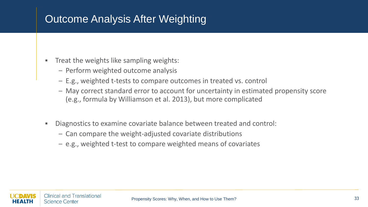# Outcome Analysis After Weighting

- Treat the weights like sampling weights:
	- Perform weighted outcome analysis
	- E.g., weighted t-tests to compare outcomes in treated vs. control
	- May correct standard error to account for uncertainty in estimated propensity score (e.g., formula by Williamson et al. 2013), but more complicated
- Diagnostics to examine covariate balance between treated and control:
	- Can compare the weight-adjusted covariate distributions
	- e.g., weighted t-test to compare weighted means of covariates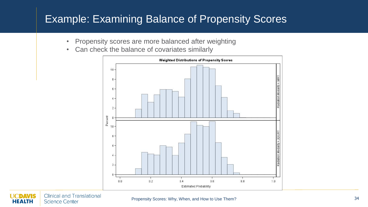### Example: Examining Balance of Propensity Scores

- Propensity scores are more balanced after weighting
- Can check the balance of covariates similarly



**Clinical and Translational** DAVIS **Science Center** HEALTH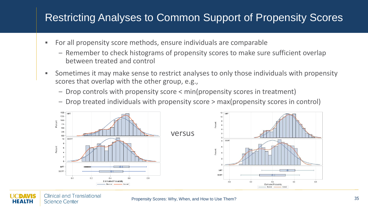#### Restricting Analyses to Common Support of Propensity Scores

- For all propensity score methods, ensure individuals are comparable
	- Remember to check histograms of propensity scores to make sure sufficient overlap between treated and control
- **EXT** Sometimes it may make sense to restrict analyses to only those individuals with propensity scores that overlap with the other group, e.g.,
	- Drop controls with propensity score < min(propensity scores in treatment)
	- Drop treated individuals with propensity score > max(propensity scores in control)



**Clinical and Translational Science Center**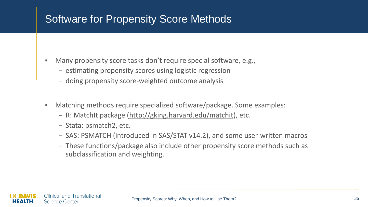### Software for Propensity Score Methods

- Many propensity score tasks don't require special software, e.g.,
	- estimating propensity scores using logistic regression
	- doing propensity score-weighted outcome analysis
- Matching methods require specialized software/package. Some examples:
	- R: MatchIt package [\(http://gking.harvard.edu/matchit\)](http://gking.harvard.edu/matchit), etc.
	- Stata: psmatch2, etc.
	- SAS: PSMATCH (introduced in SAS/STAT v14.2), and some user-written macros
	- These functions/package also include other propensity score methods such as subclassification and weighting.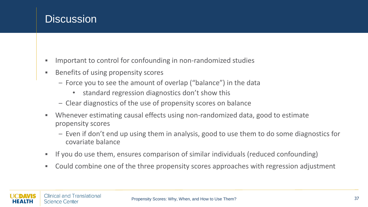#### **Discussion**

- Important to control for confounding in non-randomized studies
- Benefits of using propensity scores
	- Force you to see the amount of overlap ("balance") in the data
		- standard regression diagnostics don't show this
	- Clear diagnostics of the use of propensity scores on balance
- Whenever estimating causal effects using non-randomized data, good to estimate propensity scores
	- Even if don't end up using them in analysis, good to use them to do some diagnostics for covariate balance
- If you do use them, ensures comparison of similar individuals (reduced confounding)
- Could combine one of the three propensity scores approaches with regression adjustment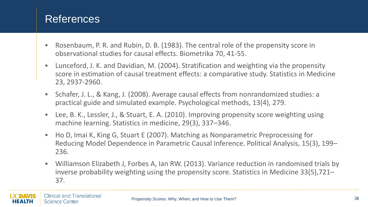#### References

- Rosenbaum, P. R. and Rubin, D. B. (1983). The central role of the propensity score in observational studies for causal effects. Biometrika 70, 41-55.
- Lunceford, J. K. and Davidian, M. (2004). Stratification and weighting via the propensity score in estimation of causal treatment effects: a comparative study. Statistics in Medicine 23, 2937-2960.
- Schafer, J. L., & Kang, J. (2008). Average causal effects from nonrandomized studies: a practical guide and simulated example. Psychological methods, 13(4), 279.
- Lee, B. K., Lessler, J., & Stuart, E. A. (2010). Improving propensity score weighting using machine learning. Statistics in medicine, 29(3), 337–346.
- Ho D, Imai K, King G, Stuart E (2007). Matching as Nonparametric Preprocessing for Reducing Model Dependence in Parametric Causal Inference. Political Analysis, 15(3), 199– 236.
- **•** Williamson Elizabeth J, Forbes A, Ian RW. (2013). Variance reduction in randomised trials by inverse probability weighting using the propensity score. Statistics in Medicine 33(5),721– 37.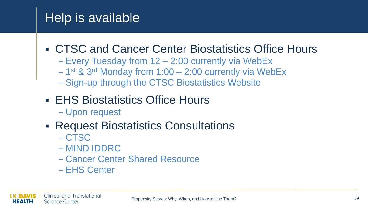# Help is available

# ■ CTSC and Cancer Center Biostatistics Office Hours

- Every Tuesday from 12 2:00 currently via WebEx
- 1<sup>st</sup> & 3<sup>rd</sup> Monday from 1:00 2:00 currently via WebEx
- Sign-up through the CTSC Biostatistics Website
- EHS Biostatistics Office Hours
	- Upon request

# ■ Request Biostatistics Consultations

- CTSC
- MIND IDDRC
- Cancer Center Shared Resource
- EHS Center

EALTH